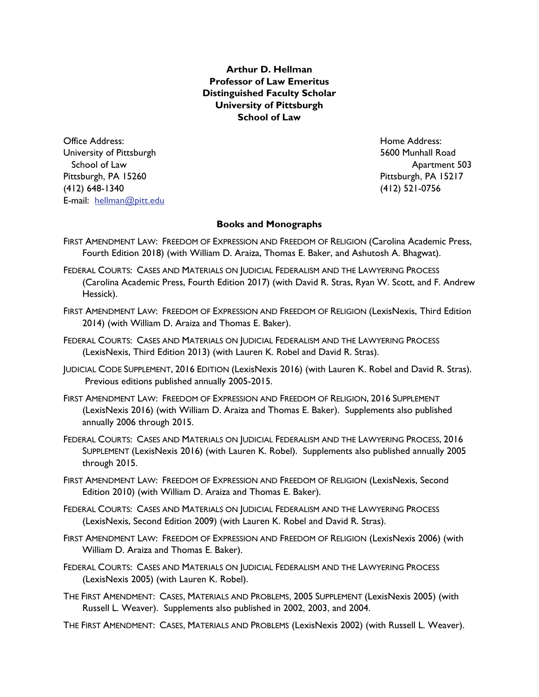**Arthur D. Hellman Professor of Law Emeritus Distinguished Faculty Scholar University of Pittsburgh School of Law** 

Office Address: Home Address: University of Pittsburgh 5600 Munhall Road School of Law **Apartment 503** Pittsburgh, PA 15260 **Pittsburgh, PA 15217** (412) 648-1340 (412) 521-0756 E-mail: hellman@pitt.edu

## **Books and Monographs**

- FIRST AMENDMENT LAW: FREEDOM OF EXPRESSION AND FREEDOM OF RELIGION (Carolina Academic Press, Fourth Edition 2018) (with William D. Araiza, Thomas E. Baker, and Ashutosh A. Bhagwat).
- FEDERAL COURTS: CASES AND MATERIALS ON JUDICIAL FEDERALISM AND THE LAWYERING PROCESS (Carolina Academic Press, Fourth Edition 2017) (with David R. Stras, Ryan W. Scott, and F. Andrew Hessick).
- FIRST AMENDMENT LAW: FREEDOM OF EXPRESSION AND FREEDOM OF RELIGION (LexisNexis, Third Edition 2014) (with William D. Araiza and Thomas E. Baker).
- FEDERAL COURTS: CASES AND MATERIALS ON JUDICIAL FEDERALISM AND THE LAWYERING PROCESS (LexisNexis, Third Edition 2013) (with Lauren K. Robel and David R. Stras).
- JUDICIAL CODE SUPPLEMENT, 2016 EDITION (LexisNexis 2016) (with Lauren K. Robel and David R. Stras). Previous editions published annually 2005-2015.
- FIRST AMENDMENT LAW: FREEDOM OF EXPRESSION AND FREEDOM OF RELIGION, 2016 SUPPLEMENT (LexisNexis 2016) (with William D. Araiza and Thomas E. Baker). Supplements also published annually 2006 through 2015.
- FEDERAL COURTS: CASES AND MATERIALS ON JUDICIAL FEDERALISM AND THE LAWYERING PROCESS, 2016 SUPPLEMENT (LexisNexis 2016) (with Lauren K. Robel). Supplements also published annually 2005 through 2015.
- FIRST AMENDMENT LAW: FREEDOM OF EXPRESSION AND FREEDOM OF RELIGION (LexisNexis, Second Edition 2010) (with William D. Araiza and Thomas E. Baker).
- FEDERAL COURTS: CASES AND MATERIALS ON JUDICIAL FEDERALISM AND THE LAWYERING PROCESS (LexisNexis, Second Edition 2009) (with Lauren K. Robel and David R. Stras).
- FIRST AMENDMENT LAW: FREEDOM OF EXPRESSION AND FREEDOM OF RELIGION (LexisNexis 2006) (with William D. Araiza and Thomas E. Baker).
- FEDERAL COURTS: CASES AND MATERIALS ON JUDICIAL FEDERALISM AND THE LAWYERING PROCESS (LexisNexis 2005) (with Lauren K. Robel).
- THE FIRST AMENDMENT: CASES, MATERIALS AND PROBLEMS, 2005 SUPPLEMENT (LexisNexis 2005) (with Russell L. Weaver). Supplements also published in 2002, 2003, and 2004.
- THE FIRST AMENDMENT: CASES, MATERIALS AND PROBLEMS (LexisNexis 2002) (with Russell L. Weaver).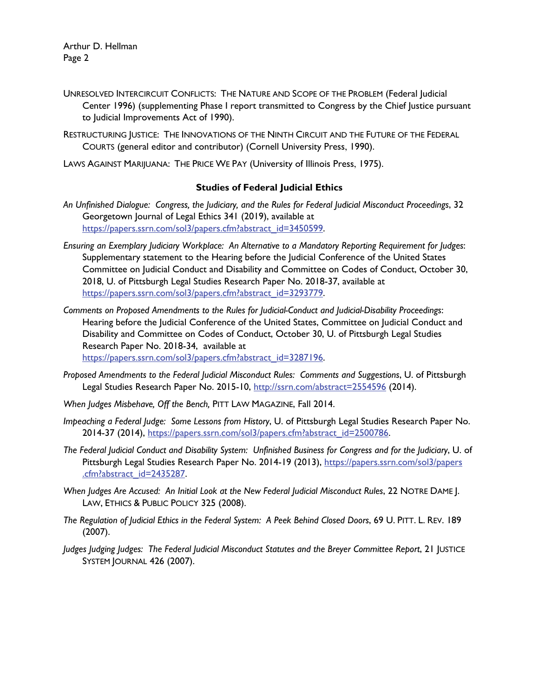Arthur D. Hellman Page 2

- UNRESOLVED INTERCIRCUIT CONFLICTS: THE NATURE AND SCOPE OF THE PROBLEM (Federal Judicial Center 1996) (supplementing Phase I report transmitted to Congress by the Chief Justice pursuant to Judicial Improvements Act of 1990).
- RESTRUCTURING JUSTICE: THE INNOVATIONS OF THE NINTH CIRCUIT AND THE FUTURE OF THE FEDERAL COURTS (general editor and contributor) (Cornell University Press, 1990).
- LAWS AGAINST MARIJUANA: THE PRICE WE PAY (University of Illinois Press, 1975).

## **Studies of Federal Judicial Ethics**

- *An Unfinished Dialogue: Congress, the Judiciary, and the Rules for Federal Judicial Misconduct Proceedings*, 32 Georgetown Journal of Legal Ethics 341 (2019), available at https://papers.ssrn.com/sol3/papers.cfm?abstract\_id=3450599.
- *Ensuring an Exemplary Judiciary Workplace: An Alternative to a Mandatory Reporting Requirement for Judges*: Supplementary statement to the Hearing before the Judicial Conference of the United States Committee on Judicial Conduct and Disability and Committee on Codes of Conduct, October 30, 2018, U. of Pittsburgh Legal Studies Research Paper No. 2018-37, available at https://papers.ssrn.com/sol3/papers.cfm?abstract\_id=3293779.
- *Comments on Proposed Amendments to the Rules for Judicial-Conduct and Judicial-Disability Proceedings*: Hearing before the Judicial Conference of the United States, Committee on Judicial Conduct and Disability and Committee on Codes of Conduct, October 30, U. of Pittsburgh Legal Studies Research Paper No. 2018-34, available at https://papers.ssrn.com/sol3/papers.cfm?abstract\_id=3287196.
- *Proposed Amendments to the Federal Judicial Misconduct Rules: Comments and Suggestions*, U. of Pittsburgh Legal Studies Research Paper No. 2015-10, http://ssrn.com/abstract=2554596 (2014).
- *When Judges Misbehave, Off the Bench,* PITT LAW MAGAZINE, Fall 2014.
- *Impeaching a Federal Judge: Some Lessons from History*, U. of Pittsburgh Legal Studies Research Paper No. 2014-37 (2014), https://papers.ssrn.com/sol3/papers.cfm?abstract\_id=2500786.
- *The Federal Judicial Conduct and Disability System: Unfinished Business for Congress and for the Judiciary*, U. of Pittsburgh Legal Studies Research Paper No. 2014-19 (2013), https://papers.ssrn.com/sol3/papers .cfm?abstract\_id=2435287.
- *When Judges Are Accused: An Initial Look at the New Federal Judicial Misconduct Rules*, 22 NOTRE DAME J. LAW, ETHICS & PUBLIC POLICY 325 (2008).
- *The Regulation of Judicial Ethics in the Federal System: A Peek Behind Closed Doors*, 69 U. PITT. L. REV. 189 (2007).
- *Judges Judging Judges: The Federal Judicial Misconduct Statutes and the Breyer Committee Report*, 21 JUSTICE SYSTEM JOURNAL 426 (2007).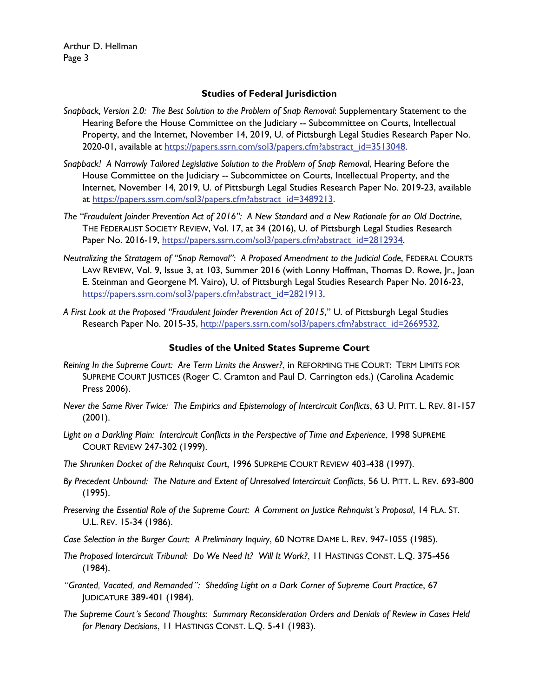Arthur D. Hellman Page 3

## **Studies of Federal Jurisdiction**

- *Snapback, Version 2.0: The Best Solution to the Problem of Snap Removal*: Supplementary Statement to the Hearing Before the House Committee on the Judiciary -- Subcommittee on Courts, Intellectual Property, and the Internet, November 14, 2019, U. of Pittsburgh Legal Studies Research Paper No. 2020-01, available at https://papers.ssrn.com/sol3/papers.cfm?abstract\_id=3513048.
- *Snapback! A Narrowly Tailored Legislative Solution to the Problem of Snap Removal*, Hearing Before the House Committee on the Judiciary -- Subcommittee on Courts, Intellectual Property, and the Internet, November 14, 2019, U. of Pittsburgh Legal Studies Research Paper No. 2019-23, available at https://papers.ssrn.com/sol3/papers.cfm?abstract\_id=3489213.
- *The "Fraudulent Joinder Prevention Act of 2016": A New Standard and a New Rationale for an Old Doctrine*, THE FEDERALIST SOCIETY REVIEW, Vol. 17, at 34 (2016), U. of Pittsburgh Legal Studies Research Paper No. 2016-19, https://papers.ssrn.com/sol3/papers.cfm?abstract\_id=2812934.
- *Neutralizing the Stratagem of "Snap Removal": A Proposed Amendment to the Judicial Code*, FEDERAL COURTS LAW REVIEW, Vol. 9, Issue 3, at 103, Summer 2016 (with Lonny Hoffman, Thomas D. Rowe, Jr., Joan E. Steinman and Georgene M. Vairo), U. of Pittsburgh Legal Studies Research Paper No. 2016-23, https://papers.ssrn.com/sol3/papers.cfm?abstract\_id=2821913.
- *A First Look at the Proposed "Fraudulent Joinder Prevention Act of 2015*," U. of Pittsburgh Legal Studies Research Paper No. 2015-35, http://papers.ssrn.com/sol3/papers.cfm?abstract\_id=2669532.

# **Studies of the United States Supreme Court**

- *Reining In the Supreme Court: Are Term Limits the Answer?*, in REFORMING THE COURT: TERM LIMITS FOR SUPREME COURT JUSTICES (Roger C. Cramton and Paul D. Carrington eds.) (Carolina Academic Press 2006).
- *Never the Same River Twice: The Empirics and Epistemology of Intercircuit Conflicts*, 63 U. PITT. L. REV. 81-157  $(2001).$
- *Light on a Darkling Plain: Intercircuit Conflicts in the Perspective of Time and Experience*, 1998 SUPREME COURT REVIEW 247-302 (1999).
- *The Shrunken Docket of the Rehnquist Court*, 1996 SUPREME COURT REVIEW 403-438 (1997).
- *By Precedent Unbound: The Nature and Extent of Unresolved Intercircuit Conflicts*, 56 U. PITT. L. REV. 693-800 (1995).
- *Preserving the Essential Role of the Supreme Court: A Comment on Justice Rehnquist's Proposal*, 14 FLA. ST. U.L. REV. 15-34 (1986).
- *Case Selection in the Burger Court: A Preliminary Inquiry*, 60 NOTRE DAME L. REV. 947-1055 (1985).
- *The Proposed Intercircuit Tribunal: Do We Need It? Will It Work?*, 11 HASTINGS CONST. L.Q. 375-456 (1984).
- *"Granted, Vacated, and Remanded": Shedding Light on a Dark Corner of Supreme Court Practice*, 67 JUDICATURE 389-401 (1984).
- *The Supreme Court's Second Thoughts: Summary Reconsideration Orders and Denials of Review in Cases Held for Plenary Decisions*, 11 HASTINGS CONST. L.Q. 5-41 (1983).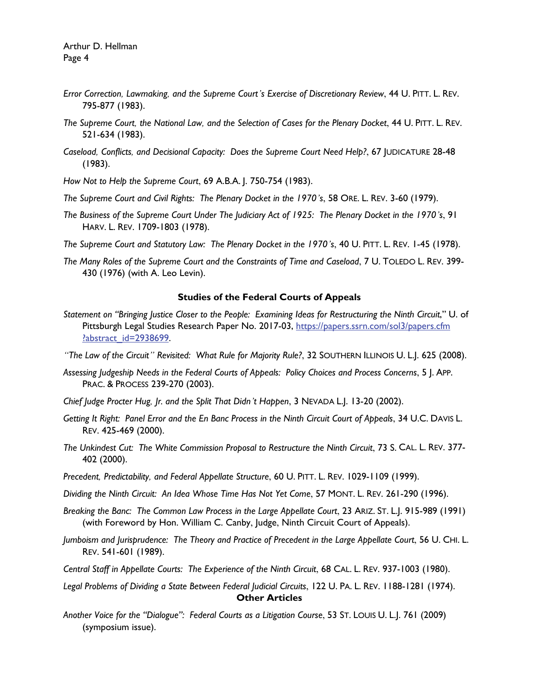- *Error Correction, Lawmaking, and the Supreme Court's Exercise of Discretionary Review*, 44 U. PITT. L. REV. 795-877 (1983).
- *The Supreme Court, the National Law, and the Selection of Cases for the Plenary Docket*, 44 U. PITT. L. REV. 521-634 (1983).
- *Caseload, Conflicts, and Decisional Capacity: Does the Supreme Court Need Help?*, 67 JUDICATURE 28-48 (1983).
- *How Not to Help the Supreme Court*, 69 A.B.A. J. 750-754 (1983).
- *The Supreme Court and Civil Rights: The Plenary Docket in the 1970's*, 58 ORE. L. REV. 3-60 (1979).
- *The Business of the Supreme Court Under The Judiciary Act of 1925: The Plenary Docket in the 1970's*, 91 HARV. L. REV. 1709-1803 (1978).
- *The Supreme Court and Statutory Law: The Plenary Docket in the 1970's*, 40 U. PITT. L. REV. 1-45 (1978).
- *The Many Roles of the Supreme Court and the Constraints of Time and Caseload*, 7 U. TOLEDO L. REV. 399- 430 (1976) (with A. Leo Levin).

#### **Studies of the Federal Courts of Appeals**

- *Statement on "Bringing Justice Closer to the People: Examining Ideas for Restructuring the Ninth Circuit*," U. of Pittsburgh Legal Studies Research Paper No. 2017-03, https://papers.ssrn.com/sol3/papers.cfm ?abstract\_id=2938699.
- *"The Law of the Circuit" Revisited: What Rule for Majority Rule?*, 32 SOUTHERN ILLINOIS U. L.J. 625 (2008).
- *Assessing Judgeship Needs in the Federal Courts of Appeals: Policy Choices and Process Concerns*, 5 J. APP. PRAC. & PROCESS 239-270 (2003).
- *Chief Judge Procter Hug, Jr. and the Split That Didn't Happen*, 3 NEVADA L.J. 13-20 (2002).
- *Getting It Right: Panel Error and the En Banc Process in the Ninth Circuit Court of Appeals*, 34 U.C. DAVIS L. REV. 425-469 (2000).
- *The Unkindest Cut: The White Commission Proposal to Restructure the Ninth Circuit*, 73 S. CAL. L. REV. 377- 402 (2000).
- *Precedent, Predictability, and Federal Appellate Structure*, 60 U. PITT. L. REV. 1029-1109 (1999).
- *Dividing the Ninth Circuit: An Idea Whose Time Has Not Yet Come*, 57 MONT. L. REV. 261-290 (1996).
- *Breaking the Banc: The Common Law Process in the Large Appellate Court*, 23 ARIZ. ST. L.J. 915-989 (1991) (with Foreword by Hon. William C. Canby, Judge, Ninth Circuit Court of Appeals).
- *Jumboism and Jurisprudence: The Theory and Practice of Precedent in the Large Appellate Court*, 56 U. CHI. L. REV. 541-601 (1989).
- *Central Staff in Appellate Courts: The Experience of the Ninth Circuit*, 68 CAL. L. REV. 937-1003 (1980).

*Legal Problems of Dividing a State Between Federal Judicial Circuits*, 122 U. PA. L. REV. 1188-1281 (1974). **Other Articles**

*Another Voice for the "Dialogue": Federal Courts as a Litigation Course*, 53 ST. LOUIS U. L.J. 761 (2009) (symposium issue).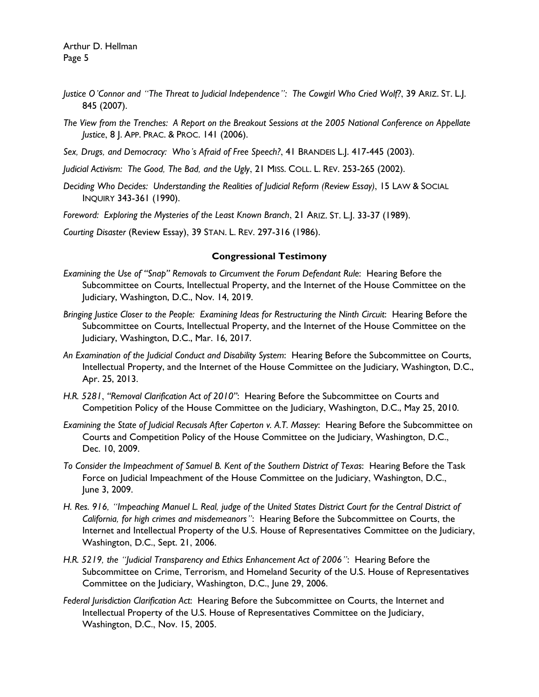- *Justice O'Connor and "The Threat to Judicial Independence": The Cowgirl Who Cried Wolf?*, 39 ARIZ. ST. L.J. 845 (2007).
- *The View from the Trenches: A Report on the Breakout Sessions at the 2005 National Conference on Appellate Justice*, 8 J. APP. PRAC. & PROC. 141 (2006).
- *Sex, Drugs, and Democracy: Who's Afraid of Free Speech?*, 41 BRANDEIS L.J. 417-445 (2003).
- *Judicial Activism: The Good, The Bad, and the Ugly*, 21 MISS. COLL. L. REV. 253-265 (2002).
- *Deciding Who Decides: Understanding the Realities of Judicial Reform (Review Essay)*, 15 LAW & SOCIAL INQUIRY 343-361 (1990).
- *Foreword: Exploring the Mysteries of the Least Known Branch*, 21 ARIZ. ST. L.J. 33-37 (1989).
- *Courting Disaster* (Review Essay), 39 STAN. L. REV. 297-316 (1986).

#### **Congressional Testimony**

- *Examining the Use of "Snap" Removals to Circumvent the Forum Defendant Rule*: Hearing Before the Subcommittee on Courts, Intellectual Property, and the Internet of the House Committee on the Judiciary, Washington, D.C., Nov. 14, 2019.
- *Bringing Justice Closer to the People: Examining Ideas for Restructuring the Ninth Circuit*: Hearing Before the Subcommittee on Courts, Intellectual Property, and the Internet of the House Committee on the Judiciary, Washington, D.C., Mar. 16, 2017.
- *An Examination of the Judicial Conduct and Disability System*: Hearing Before the Subcommittee on Courts, Intellectual Property, and the Internet of the House Committee on the Judiciary, Washington, D.C., Apr. 25, 2013.
- *H.R. 5281*, *"Removal Clarification Act of 2010"*: Hearing Before the Subcommittee on Courts and Competition Policy of the House Committee on the Judiciary, Washington, D.C., May 25, 2010.
- *Examining the State of Judicial Recusals After Caperton v. A.T. Massey*: Hearing Before the Subcommittee on Courts and Competition Policy of the House Committee on the Judiciary, Washington, D.C., Dec. 10, 2009.
- *To Consider the Impeachment of Samuel B. Kent of the Southern District of Texas*:Hearing Before the Task Force on Judicial Impeachment of the House Committee on the Judiciary, Washington, D.C., June 3, 2009.
- *H. Res. 916, "Impeaching Manuel L. Real, judge of the United States District Court for the Central District of California, for high crimes and misdemeanors"*: Hearing Before the Subcommittee on Courts, the Internet and Intellectual Property of the U.S. House of Representatives Committee on the Judiciary, Washington, D.C., Sept. 21, 2006.
- *H.R. 5219, the "Judicial Transparency and Ethics Enhancement Act of 2006"*: Hearing Before the Subcommittee on Crime, Terrorism, and Homeland Security of the U.S. House of Representatives Committee on the Judiciary, Washington, D.C., June 29, 2006.
- *Federal Jurisdiction Clarification Act*: Hearing Before the Subcommittee on Courts, the Internet and Intellectual Property of the U.S. House of Representatives Committee on the Judiciary, Washington, D.C., Nov. 15, 2005.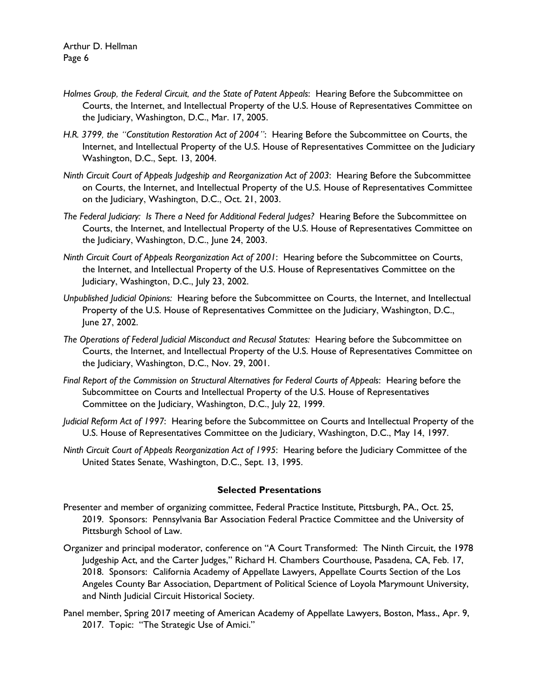- *Holmes Group, the Federal Circuit, and the State of Patent Appeals*: Hearing Before the Subcommittee on Courts, the Internet, and Intellectual Property of the U.S. House of Representatives Committee on the Judiciary, Washington, D.C., Mar. 17, 2005.
- *H.R. 3799, the "Constitution Restoration Act of 2004"*: Hearing Before the Subcommittee on Courts, the Internet, and Intellectual Property of the U.S. House of Representatives Committee on the Judiciary Washington, D.C., Sept. 13, 2004.
- *Ninth Circuit Court of Appeals Judgeship and Reorganization Act of 2003*: Hearing Before the Subcommittee on Courts, the Internet, and Intellectual Property of the U.S. House of Representatives Committee on the Judiciary, Washington, D.C., Oct. 21, 2003.
- *The Federal Judiciary: Is There a Need for Additional Federal Judges?* Hearing Before the Subcommittee on Courts, the Internet, and Intellectual Property of the U.S. House of Representatives Committee on the Judiciary, Washington, D.C., June 24, 2003.
- *Ninth Circuit Court of Appeals Reorganization Act of 2001*: Hearing before the Subcommittee on Courts, the Internet, and Intellectual Property of the U.S. House of Representatives Committee on the Judiciary, Washington, D.C., July 23, 2002.
- *Unpublished Judicial Opinions:* Hearing before the Subcommittee on Courts, the Internet, and Intellectual Property of the U.S. House of Representatives Committee on the Judiciary, Washington, D.C., June 27, 2002.
- *The Operations of Federal Judicial Misconduct and Recusal Statutes:* Hearing before the Subcommittee on Courts, the Internet, and Intellectual Property of the U.S. House of Representatives Committee on the Judiciary, Washington, D.C., Nov. 29, 2001.
- *Final Report of the Commission on Structural Alternatives for Federal Courts of Appeals*: Hearing before the Subcommittee on Courts and Intellectual Property of the U.S. House of Representatives Committee on the Judiciary, Washington, D.C., July 22, 1999.
- *Judicial Reform Act of 1997*: Hearing before the Subcommittee on Courts and Intellectual Property of the U.S. House of Representatives Committee on the Judiciary, Washington, D.C., May 14, 1997.
- *Ninth Circuit Court of Appeals Reorganization Act of 1995*: Hearing before the Judiciary Committee of the United States Senate, Washington, D.C., Sept. 13, 1995.

#### **Selected Presentations**

- Presenter and member of organizing committee, Federal Practice Institute, Pittsburgh, PA., Oct. 25, 2019. Sponsors: Pennsylvania Bar Association Federal Practice Committee and the University of Pittsburgh School of Law.
- Organizer and principal moderator, conference on "A Court Transformed: The Ninth Circuit, the 1978 Judgeship Act, and the Carter Judges," Richard H. Chambers Courthouse, Pasadena, CA, Feb. 17, 2018. Sponsors: California Academy of Appellate Lawyers, Appellate Courts Section of the Los Angeles County Bar Association, Department of Political Science of Loyola Marymount University, and Ninth Judicial Circuit Historical Society.
- Panel member, Spring 2017 meeting of American Academy of Appellate Lawyers, Boston, Mass., Apr. 9, 2017. Topic: "The Strategic Use of Amici."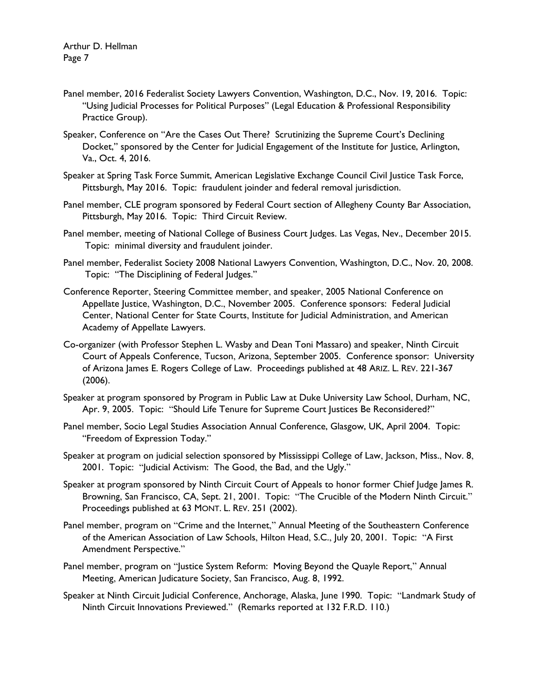- Panel member, 2016 Federalist Society Lawyers Convention, Washington, D.C., Nov. 19, 2016. Topic: "Using Judicial Processes for Political Purposes" (Legal Education & Professional Responsibility Practice Group).
- Speaker, Conference on "Are the Cases Out There? Scrutinizing the Supreme Court's Declining Docket," sponsored by the Center for Judicial Engagement of the Institute for Justice, Arlington, Va., Oct. 4, 2016.
- Speaker at Spring Task Force Summit, American Legislative Exchange Council Civil Justice Task Force, Pittsburgh, May 2016. Topic: fraudulent joinder and federal removal jurisdiction.
- Panel member, CLE program sponsored by Federal Court section of Allegheny County Bar Association, Pittsburgh, May 2016. Topic: Third Circuit Review.
- Panel member, meeting of National College of Business Court Judges. Las Vegas, Nev., December 2015. Topic: minimal diversity and fraudulent joinder.
- Panel member, Federalist Society 2008 National Lawyers Convention, Washington, D.C., Nov. 20, 2008. Topic: "The Disciplining of Federal Judges."
- Conference Reporter, Steering Committee member, and speaker, 2005 National Conference on Appellate Justice, Washington, D.C., November 2005. Conference sponsors: Federal Judicial Center, National Center for State Courts, Institute for Judicial Administration, and American Academy of Appellate Lawyers.
- Co-organizer (with Professor Stephen L. Wasby and Dean Toni Massaro) and speaker, Ninth Circuit Court of Appeals Conference, Tucson, Arizona, September 2005. Conference sponsor: University of Arizona James E. Rogers College of Law. Proceedings published at 48 ARIZ. L. REV. 221-367 (2006).
- Speaker at program sponsored by Program in Public Law at Duke University Law School, Durham, NC, Apr. 9, 2005. Topic: "Should Life Tenure for Supreme Court Justices Be Reconsidered?"
- Panel member, Socio Legal Studies Association Annual Conference, Glasgow, UK, April 2004. Topic: "Freedom of Expression Today."
- Speaker at program on judicial selection sponsored by Mississippi College of Law, Jackson, Miss., Nov. 8, 2001. Topic: "Judicial Activism: The Good, the Bad, and the Ugly."
- Speaker at program sponsored by Ninth Circuit Court of Appeals to honor former Chief Judge James R. Browning, San Francisco, CA, Sept. 21, 2001. Topic: "The Crucible of the Modern Ninth Circuit." Proceedings published at 63 MONT. L. REV. 251 (2002).
- Panel member, program on "Crime and the Internet," Annual Meeting of the Southeastern Conference of the American Association of Law Schools, Hilton Head, S.C., July 20, 2001. Topic: "A First Amendment Perspective."
- Panel member, program on "Justice System Reform: Moving Beyond the Quayle Report," Annual Meeting, American Judicature Society, San Francisco, Aug. 8, 1992.
- Speaker at Ninth Circuit Judicial Conference, Anchorage, Alaska, June 1990. Topic: "Landmark Study of Ninth Circuit Innovations Previewed." (Remarks reported at 132 F.R.D. 110.)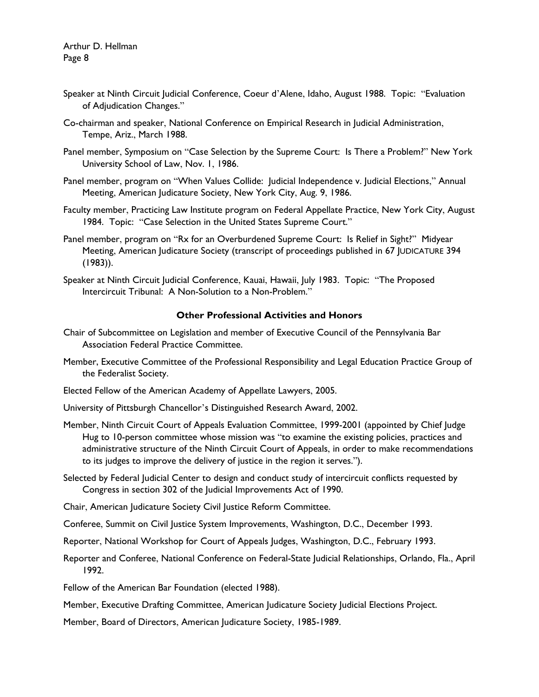- Speaker at Ninth Circuit Judicial Conference, Coeur d'Alene, Idaho, August 1988. Topic: "Evaluation of Adjudication Changes."
- Co-chairman and speaker, National Conference on Empirical Research in Judicial Administration, Tempe, Ariz., March 1988.
- Panel member, Symposium on "Case Selection by the Supreme Court: Is There a Problem?" New York University School of Law, Nov. 1, 1986.
- Panel member, program on "When Values Collide: Judicial Independence v. Judicial Elections," Annual Meeting, American Judicature Society, New York City, Aug. 9, 1986.
- Faculty member, Practicing Law Institute program on Federal Appellate Practice, New York City, August 1984. Topic: "Case Selection in the United States Supreme Court."
- Panel member, program on "Rx for an Overburdened Supreme Court: Is Relief in Sight?" Midyear Meeting, American Judicature Society (transcript of proceedings published in 67 JUDICATURE 394 (1983)).
- Speaker at Ninth Circuit Judicial Conference, Kauai, Hawaii, July 1983. Topic: "The Proposed Intercircuit Tribunal: A Non-Solution to a Non-Problem."

# **Other Professional Activities and Honors**

- Chair of Subcommittee on Legislation and member of Executive Council of the Pennsylvania Bar Association Federal Practice Committee.
- Member, Executive Committee of the Professional Responsibility and Legal Education Practice Group of the Federalist Society.
- Elected Fellow of the American Academy of Appellate Lawyers, 2005.

University of Pittsburgh Chancellor's Distinguished Research Award, 2002.

- Member, Ninth Circuit Court of Appeals Evaluation Committee, 1999-2001 (appointed by Chief Judge Hug to 10-person committee whose mission was "to examine the existing policies, practices and administrative structure of the Ninth Circuit Court of Appeals, in order to make recommendations to its judges to improve the delivery of justice in the region it serves.").
- Selected by Federal Judicial Center to design and conduct study of intercircuit conflicts requested by Congress in section 302 of the Judicial Improvements Act of 1990.
- Chair, American Judicature Society Civil Justice Reform Committee.
- Conferee, Summit on Civil Justice System Improvements, Washington, D.C., December 1993.
- Reporter, National Workshop for Court of Appeals Judges, Washington, D.C., February 1993.
- Reporter and Conferee, National Conference on Federal-State Judicial Relationships, Orlando, Fla., April 1992.
- Fellow of the American Bar Foundation (elected 1988).
- Member, Executive Drafting Committee, American Judicature Society Judicial Elections Project.
- Member, Board of Directors, American Judicature Society, 1985-1989.